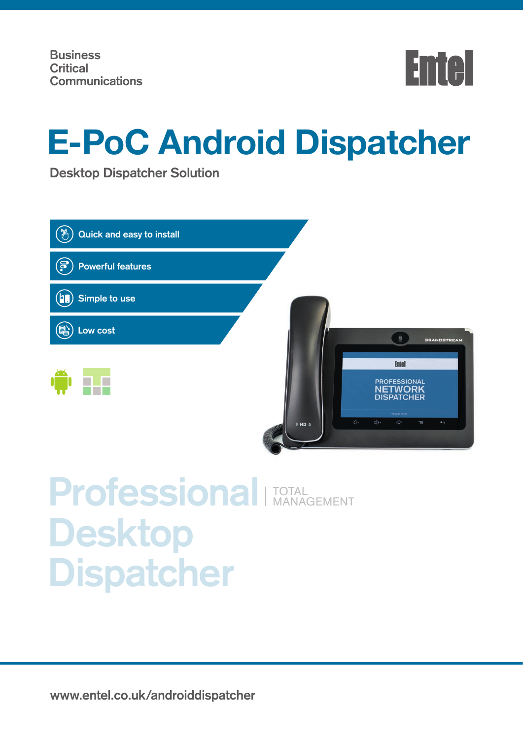

# **E-PoC Android Dispatcher**

**Desktop Dispatcher Solution**

| Quick and easy to install<br>ՙլե՞լ    |                                                                                                     |
|---------------------------------------|-----------------------------------------------------------------------------------------------------|
| <u>(ခ</u><br><b>Powerful features</b> |                                                                                                     |
| Simple to use                         |                                                                                                     |
| Low cost                              | <b>GRANDSTREAM</b>                                                                                  |
|                                       | <b>Entel</b><br><b>PROFESSIONAL</b><br><b>NETWORK</b><br><b>DISPATCHER</b><br>O Copyright Emiri LIK |
|                                       | $\Phi$ -<br>$\Box$ 0+<br>♤<br>T<br>$\overline{\mathbb{C}}^{\bullet}$<br>\$HD                        |

## **Professional Desktop Dispatcher** TOTAL MANAGEMENT

**www.entel.co.uk/androiddispatcher**